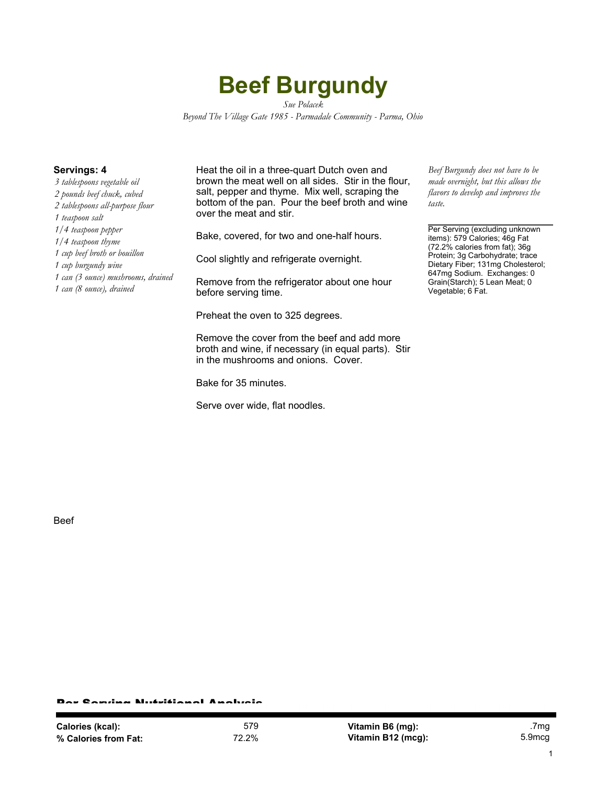## **Beef Burgundy**

*Sue Polacek Beyond The Village Gate 1985 - Parmadale Community - Parma, Ohio*

*3 tablespoons vegetable oil 2 pounds beef chuck, cubed 2 tablespoons all-purpose flour 1 teaspoon salt 1/4 teaspoon pepper 1/4 teaspoon thyme 1 cup beef broth or bouillon 1 cup burgundy wine 1 can (3 ounce) mushrooms, drained 1 can (8 ounce), drained*

**Servings: 4** Heat the oil in a three-quart Dutch oven and brown the meat well on all sides. Stir in the flour, salt, pepper and thyme. Mix well, scraping the bottom of the pan. Pour the beef broth and wine over the meat and stir.

Bake, covered, for two and one-half hours.

Cool slightly and refrigerate overnight.

Remove from the refrigerator about one hour before serving time.

Preheat the oven to 325 degrees.

Remove the cover from the beef and add more broth and wine, if necessary (in equal parts). Stir in the mushrooms and onions. Cover.

Bake for 35 minutes.

Serve over wide, flat noodles.

*Beef Burgundy does not have to be made overnight, but this allows the flavors to develop and improves the taste.*

Per Serving (excluding unknown items): 579 Calories; 46g Fat (72.2% calories from fat); 36g Protein; 3g Carbohydrate; trace Dietary Fiber; 131mg Cholesterol; 647mg Sodium. Exchanges: 0 Grain(Starch); 5 Lean Meat; 0 Vegetable; 6 Fat.

Beef

## Per Serving Nutritional Analysis